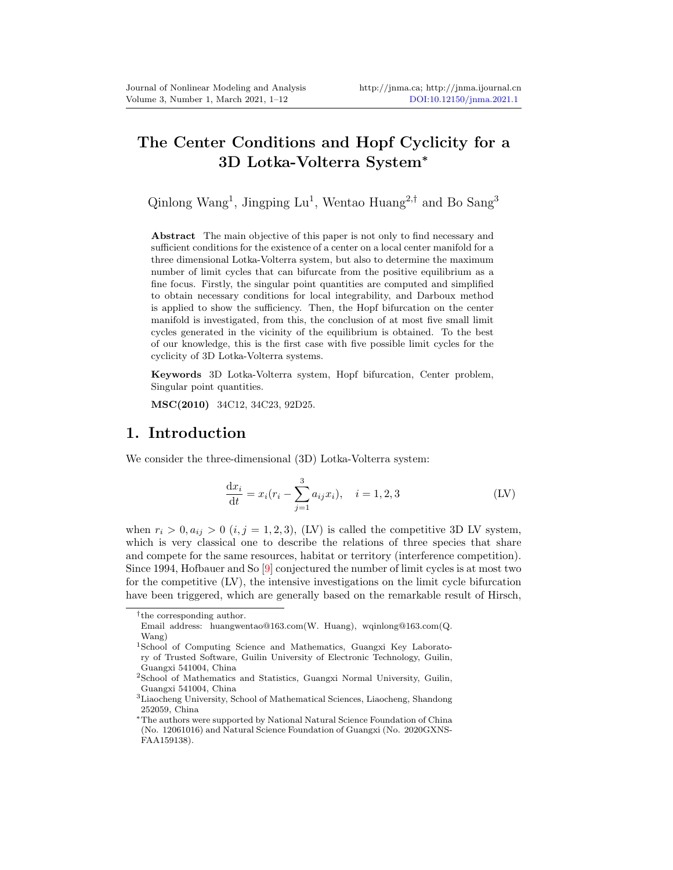# The Center Conditions and Hopf Cyclicity for a 3D Lotka-Volterra System<sup>∗</sup>

Qinlong Wang<sup>1</sup>, Jingping  $Lu^1$ , Wentao Huang<sup>2,†</sup> and Bo Sang<sup>3</sup>

Abstract The main objective of this paper is not only to find necessary and sufficient conditions for the existence of a center on a local center manifold for a three dimensional Lotka-Volterra system, but also to determine the maximum number of limit cycles that can bifurcate from the positive equilibrium as a fine focus. Firstly, the singular point quantities are computed and simplified to obtain necessary conditions for local integrability, and Darboux method is applied to show the sufficiency. Then, the Hopf bifurcation on the center manifold is investigated, from this, the conclusion of at most five small limit cycles generated in the vicinity of the equilibrium is obtained. To the best of our knowledge, this is the first case with five possible limit cycles for the cyclicity of 3D Lotka-Volterra systems.

Keywords 3D Lotka-Volterra system, Hopf bifurcation, Center problem, Singular point quantities.

MSC(2010) 34C12, 34C23, 92D25.

#### 1. Introduction

We consider the three-dimensional (3D) Lotka-Volterra system:

$$
\frac{dx_i}{dt} = x_i (r_i - \sum_{j=1}^3 a_{ij} x_i), \quad i = 1, 2, 3
$$
 (LV)

when  $r_i > 0, a_{ij} > 0$   $(i, j = 1, 2, 3)$ , (LV) is called the competitive 3D LV system, which is very classical one to describe the relations of three species that share and compete for the same resources, habitat or territory (interference competition). Since 1994, Hofbauer and So [\[9\]](#page-10-1) conjectured the number of limit cycles is at most two for the competitive (LV), the intensive investigations on the limit cycle bifurcation have been triggered, which are generally based on the remarkable result of Hirsch,

<sup>†</sup> the corresponding author.

Email address: huangwentao@163.com(W. Huang), wqinlong@163.com(Q. Wang)

<sup>1</sup>School of Computing Science and Mathematics, Guangxi Key Laboratory of Trusted Software, Guilin University of Electronic Technology, Guilin, Guangxi 541004, China

<sup>2</sup>School of Mathematics and Statistics, Guangxi Normal University, Guilin, Guangxi 541004, China

<sup>3</sup>Liaocheng University, School of Mathematical Sciences, Liaocheng, Shandong 252059, China

<sup>∗</sup>The authors were supported by National Natural Science Foundation of China (No. 12061016) and Natural Science Foundation of Guangxi (No. 2020GXNS-FAA159138).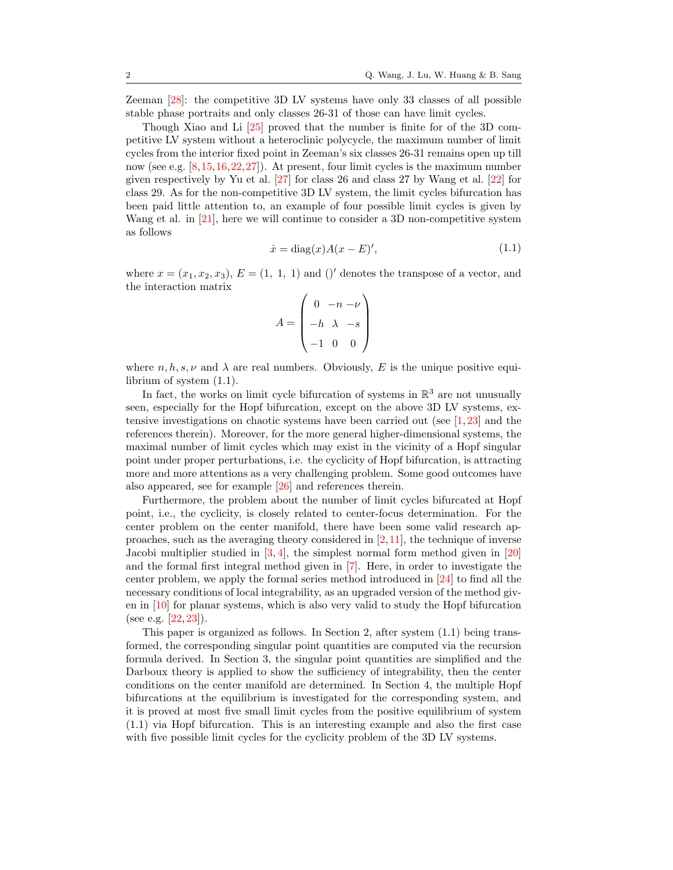Zeeman [\[28\]](#page-11-0): the competitive 3D LV systems have only 33 classes of all possible stable phase portraits and only classes 26-31 of those can have limit cycles.

Though Xiao and Li [\[25\]](#page-11-1) proved that the number is finite for of the 3D competitive LV system without a heteroclinic polycycle, the maximum number of limit cycles from the interior fixed point in Zeeman's six classes 26-31 remains open up till now (see e.g. [\[8,](#page-10-2)[15,](#page-10-3)[16,](#page-11-2)[22,](#page-11-3)[27\]](#page-11-4)). At present, four limit cycles is the maximum number given respectively by Yu et al. [\[27\]](#page-11-4) for class 26 and class 27 by Wang et al. [\[22\]](#page-11-3) for class 29. As for the non-competitive 3D LV system, the limit cycles bifurcation has been paid little attention to, an example of four possible limit cycles is given by Wang et al. in [\[21\]](#page-11-5), here we will continue to consider a 3D non-competitive system as follows

<span id="page-1-0"></span>
$$
\dot{x} = \text{diag}(x)A(x - E)',\tag{1.1}
$$

where  $x = (x_1, x_2, x_3)$ ,  $E = (1, 1, 1)$  and ()' denotes the transpose of a vector, and the interaction matrix

$$
A = \begin{pmatrix} 0 & -n & -\nu \\ -h & \lambda & -s \\ -1 & 0 & 0 \end{pmatrix}
$$

where  $n, h, s, \nu$  and  $\lambda$  are real numbers. Obviously, E is the unique positive equilibrium of system [\(1.1\)](#page-1-0).

In fact, the works on limit cycle bifurcation of systems in  $\mathbb{R}^3$  are not unusually seen, especially for the Hopf bifurcation, except on the above 3D LV systems, extensive investigations on chaotic systems have been carried out (see [\[1,](#page-10-4) [23\]](#page-11-6) and the references therein). Moreover, for the more general higher-dimensional systems, the maximal number of limit cycles which may exist in the vicinity of a Hopf singular point under proper perturbations, i.e. the cyclicity of Hopf bifurcation, is attracting more and more attentions as a very challenging problem. Some good outcomes have also appeared, see for example [\[26\]](#page-11-7) and references therein.

Furthermore, the problem about the number of limit cycles bifurcated at Hopf point, i.e., the cyclicity, is closely related to center-focus determination. For the center problem on the center manifold, there have been some valid research approaches, such as the averaging theory considered in  $[2,11]$  $[2,11]$ , the technique of inverse Jacobi multiplier studied in [\[3,](#page-10-7) [4\]](#page-10-8), the simplest normal form method given in [\[20\]](#page-11-8) and the formal first integral method given in [\[7\]](#page-10-9). Here, in order to investigate the center problem, we apply the formal series method introduced in [\[24\]](#page-11-9) to find all the necessary conditions of local integrability, as an upgraded version of the method given in [\[10\]](#page-10-10) for planar systems, which is also very valid to study the Hopf bifurcation (see e.g. [\[22,](#page-11-3) [23\]](#page-11-6)).

This paper is organized as follows. In Section 2, after system [\(1.1\)](#page-1-0) being transformed, the corresponding singular point quantities are computed via the recursion formula derived. In Section 3, the singular point quantities are simplified and the Darboux theory is applied to show the sufficiency of integrability, then the center conditions on the center manifold are determined. In Section 4, the multiple Hopf bifurcations at the equilibrium is investigated for the corresponding system, and it is proved at most five small limit cycles from the positive equilibrium of system [\(1.1\)](#page-1-0) via Hopf bifurcation. This is an interesting example and also the first case with five possible limit cycles for the cyclicity problem of the 3D LV systems.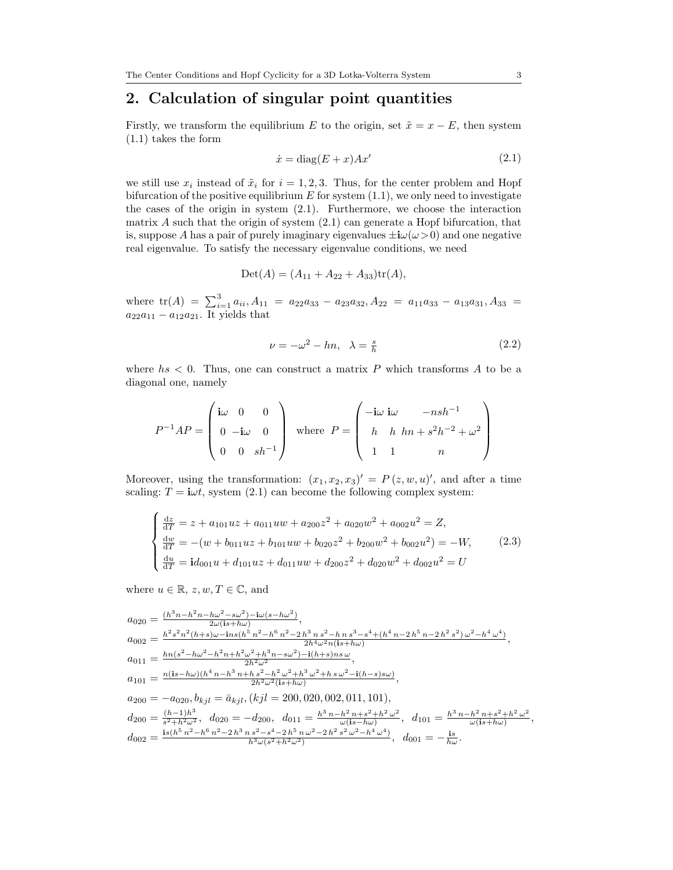## 2. Calculation of singular point quantities

Firstly, we transform the equilibrium E to the origin, set  $\tilde{x} = x - E$ , then system [\(1.1\)](#page-1-0) takes the form

<span id="page-2-0"></span>
$$
\dot{x} = \text{diag}(E + x)Ax'
$$
\n(2.1)

we still use  $x_i$  instead of  $\tilde{x}_i$  for  $i = 1, 2, 3$ . Thus, for the center problem and Hopf bifurcation of the positive equilibrium  $E$  for system [\(1.1\)](#page-1-0), we only need to investigate the cases of the origin in system [\(2.1\)](#page-2-0). Furthermore, we choose the interaction matrix  $\tilde{A}$  such that the origin of system  $(2.1)$  can generate a Hopf bifurcation, that is, suppose A has a pair of purely imaginary eigenvalues  $\pm i\omega(\omega > 0)$  and one negative real eigenvalue. To satisfy the necessary eigenvalue conditions, we need

$$
Det(A) = (A_{11} + A_{22} + A_{33})tr(A),
$$

where  $tr(A) = \sum_{i=1}^{3} a_{ii}$ ,  $A_{11} = a_{22}a_{33} - a_{23}a_{32}$ ,  $A_{22} = a_{11}a_{33} - a_{13}a_{31}$ ,  $A_{33} =$  $a_{22}a_{11} - a_{12}a_{21}$ . It yields that

<span id="page-2-2"></span>
$$
\nu = -\omega^2 - hn, \quad \lambda = \frac{s}{h} \tag{2.2}
$$

where  $hs < 0.1$ . Thus, one can construct a matrix P which transforms A to be a diagonal one, namely

$$
P^{-1}AP = \begin{pmatrix} \mathbf{i}\omega & 0 & 0 \\ 0 & -\mathbf{i}\omega & 0 \\ 0 & 0 & sh^{-1} \end{pmatrix} \text{ where } P = \begin{pmatrix} -\mathbf{i}\omega & \mathbf{i}\omega & -nsh^{-1} \\ h & h & hn + s^2h^{-2} + \omega^2 \\ 1 & 1 & n \end{pmatrix}
$$

Moreover, using the transformation:  $(x_1, x_2, x_3)' = P(z, w, u)'$ , and after a time scaling:  $T = i\omega t$ , system [\(2.1\)](#page-2-0) can become the following complex system:

<span id="page-2-1"></span>
$$
\begin{cases}\n\frac{dz}{dT} = z + a_{101}uz + a_{011}uw + a_{200}z^2 + a_{020}w^2 + a_{002}u^2 = Z, \\
\frac{dw}{dT} = -(w + b_{011}uz + b_{101}uw + b_{020}z^2 + b_{200}w^2 + b_{002}u^2) = -W, \\
\frac{dw}{dT} = id_{001}u + d_{101}uz + d_{011}uw + d_{200}z^2 + d_{020}w^2 + d_{002}u^2 = U\n\end{cases}
$$
\n(2.3)

where  $u \in \mathbb{R}, z, w, T \in \mathbb{C}$ , and

 $\overline{ }$ 

$$
a_{020} = \frac{(h^3n - h^2n - h\omega^2 - s\omega^2) - i\omega(s - h\omega^2)}{2\omega(is + h\omega)},
$$
  
\n
$$
a_{002} = \frac{h^2s^2n^2(h+s)\omega - ins(h^5n^2 - h^6n^2 - 2h^3n s^2 - h n s^3 - s^4 + (h^4n - 2h^5n - 2h^2s^2)\omega^2 - h^4\omega^4)}{2h^4\omega^2n(is + h\omega)},
$$
  
\n
$$
a_{011} = \frac{hn(s^2 - h\omega^2 - h^2n + h^2\omega^2 + h^3n - s\omega^2) - i(h+s)ns\omega}{2h^2\omega^2},
$$
  
\n
$$
a_{101} = \frac{n(is - h\omega)(h^4n - h^3n + h s^2 - h^2\omega^2 + h^3\omega^2 + h s\omega^2 - i(h-s)s\omega)}{2h^2\omega^2(is + h\omega)},
$$
  
\n
$$
a_{200} = -a_{020}, b_{kj1} = \bar{a}_{kj1}, (kj1 = 200, 020, 002, 011, 101),
$$
  
\n
$$
d_{200} = \frac{(h-1)h^3}{s^2 + h^2\omega^2}, d_{020} = -d_{200}, d_{011} = \frac{h^3n - h^2n + s^2 + h^2\omega^2}{\omega(is - h\omega)}, d_{101} = \frac{h^3n - h^2n + s^2 + h^2\omega^2}{\omega(is - h\omega)},
$$
  
\n
$$
d_{002} = \frac{is(h^5n^2 - h^6n^2 - 2h^3n s^2 - s^4 - 2h^5n\omega^2 - 2h^2s^2\omega^2 - h^4\omega^4)}{h^3\omega(s^2 + h^2\omega^2)}, d_{001} = -\frac{is}{h\omega}.
$$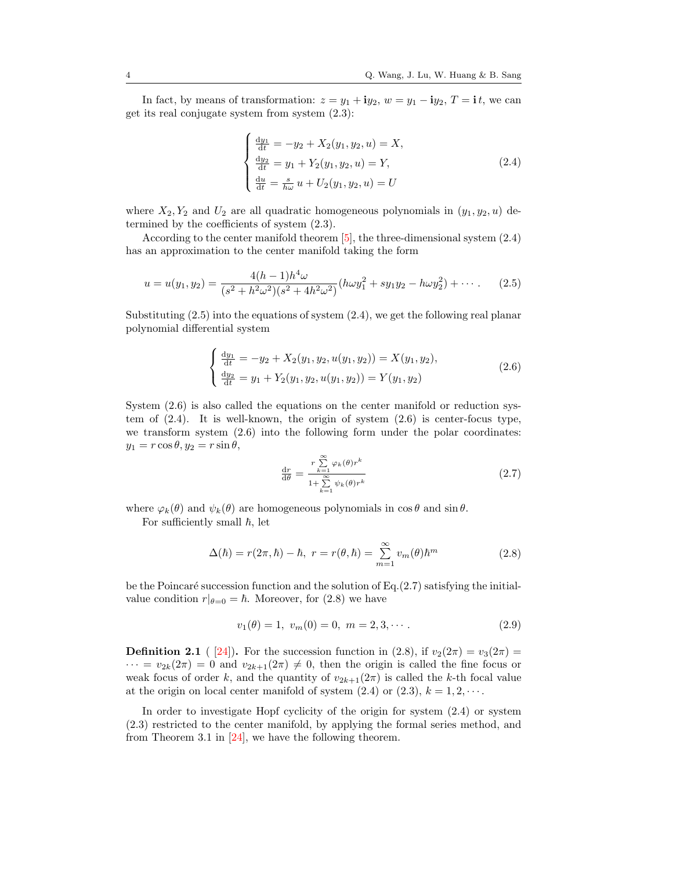In fact, by means of transformation:  $z = y_1 + iy_2$ ,  $w = y_1 - iy_2$ ,  $T = i t$ , we can get its real conjugate system from system [\(2.3\)](#page-2-1):

<span id="page-3-0"></span>
$$
\begin{cases}\n\frac{dy_1}{dt} = -y_2 + X_2(y_1, y_2, u) = X, \\
\frac{dy_2}{dt} = y_1 + Y_2(y_1, y_2, u) = Y, \\
\frac{du}{dt} = \frac{s}{h\omega} u + U_2(y_1, y_2, u) = U\n\end{cases}
$$
\n(2.4)

where  $X_2, Y_2$  and  $U_2$  are all quadratic homogeneous polynomials in  $(y_1, y_2, u)$  determined by the coefficients of system [\(2.3\)](#page-2-1).

According to the center manifold theorem [\[5\]](#page-10-11), the three-dimensional system [\(2.4\)](#page-3-0) has an approximation to the center manifold taking the form

<span id="page-3-1"></span>
$$
u = u(y_1, y_2) = \frac{4(h-1)h^4\omega}{(s^2 + h^2\omega^2)(s^2 + 4h^2\omega^2)}(h\omega y_1^2 + sy_1y_2 - h\omega y_2^2) + \cdots
$$
 (2.5)

Substituting  $(2.5)$  into the equations of system  $(2.4)$ , we get the following real planar polynomial differential system

<span id="page-3-2"></span>
$$
\begin{cases} \frac{dy_1}{dt} = -y_2 + X_2(y_1, y_2, u(y_1, y_2)) = X(y_1, y_2), \\ \frac{dy_2}{dt} = y_1 + Y_2(y_1, y_2, u(y_1, y_2)) = Y(y_1, y_2) \end{cases}
$$
(2.6)

System [\(2.6\)](#page-3-2) is also called the equations on the center manifold or reduction system of [\(2.4\)](#page-3-0). It is well-known, the origin of system [\(2.6\)](#page-3-2) is center-focus type, we transform system [\(2.6\)](#page-3-2) into the following form under the polar coordinates:  $y_1 = r \cos \theta, y_2 = r \sin \theta,$ 

<span id="page-3-3"></span>
$$
\frac{\mathrm{d}r}{\mathrm{d}\theta} = \frac{r \sum_{k=1}^{\infty} \varphi_k(\theta) r^k}{1 + \sum_{k=1}^{\infty} \psi_k(\theta) r^k}
$$
(2.7)

where  $\varphi_k(\theta)$  and  $\psi_k(\theta)$  are homogeneous polynomials in  $\cos \theta$  and  $\sin \theta$ .

For sufficiently small  $\hbar$ , let

<span id="page-3-4"></span>
$$
\Delta(\hbar) = r(2\pi, \hbar) - \hbar, \ r = r(\theta, \hbar) = \sum_{m=1}^{\infty} v_m(\theta) \hbar^m \qquad (2.8)
$$

be the Poincaré succession function and the solution of Eq. $(2.7)$  satisfying the initialvalue condition  $r|_{\theta=0} = \hbar$ . Moreover, for [\(2.8\)](#page-3-4) we have

$$
v_1(\theta) = 1, \ v_m(0) = 0, \ m = 2, 3, \cdots.
$$
 (2.9)

**Definition 2.1** ( [\[24\]](#page-11-9)). For the succession function in [\(2.8\)](#page-3-4), if  $v_2(2\pi) = v_3(2\pi)$  $\cdots = v_{2k}(2\pi) = 0$  and  $v_{2k+1}(2\pi) \neq 0$ , then the origin is called the fine focus or weak focus of order k, and the quantity of  $v_{2k+1}(2\pi)$  is called the k-th focal value at the origin on local center manifold of system  $(2.4)$  or  $(2.3)$ ,  $k = 1, 2, \cdots$ .

In order to investigate Hopf cyclicity of the origin for system [\(2.4\)](#page-3-0) or system [\(2.3\)](#page-2-1) restricted to the center manifold, by applying the formal series method, and from Theorem 3.1 in [\[24\]](#page-11-9), we have the following theorem.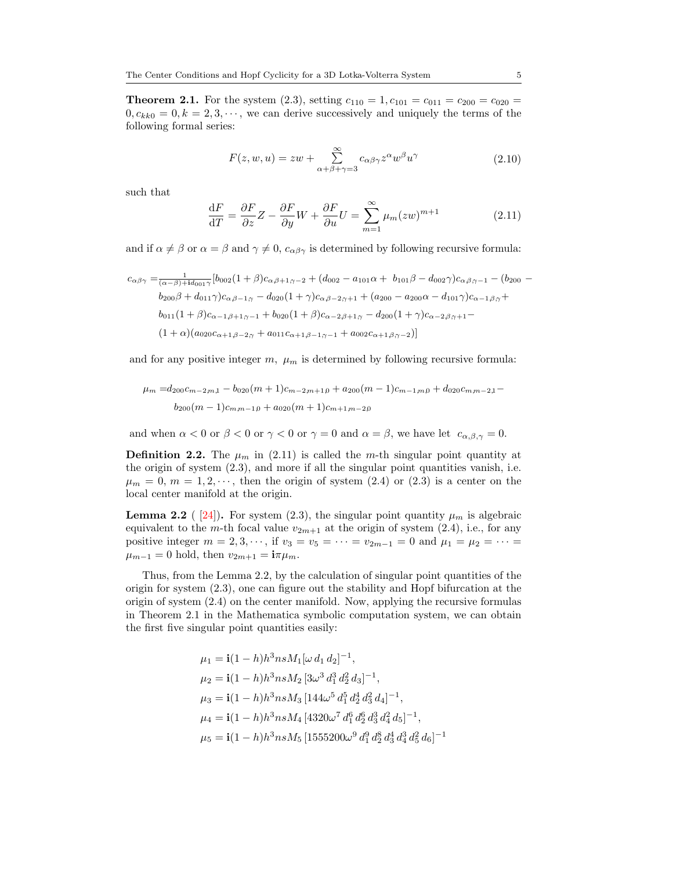<span id="page-4-2"></span>**Theorem 2.1.** For the system [\(2.3\)](#page-2-1), setting  $c_{110} = 1$ ,  $c_{101} = c_{011} = c_{200} = c_{020}$  $0, c_{kk0} = 0, k = 2, 3, \dots$ , we can derive successively and uniquely the terms of the following formal series:

$$
F(z, w, u) = zw + \sum_{\alpha + \beta + \gamma = 3}^{\infty} c_{\alpha\beta\gamma} z^{\alpha} w^{\beta} u^{\gamma}
$$
 (2.10)

such that

<span id="page-4-0"></span>
$$
\frac{\mathrm{d}F}{\mathrm{d}T} = \frac{\partial F}{\partial z}Z - \frac{\partial F}{\partial y}W + \frac{\partial F}{\partial u}U = \sum_{m=1}^{\infty} \mu_m(zw)^{m+1} \tag{2.11}
$$

and if  $\alpha \neq \beta$  or  $\alpha = \beta$  and  $\gamma \neq 0$ ,  $c_{\alpha\beta\gamma}$  is determined by following recursive formula:

$$
c_{\alpha\beta\gamma} = \frac{1}{(\alpha-\beta)+id_{001}\gamma} [b_{002}(1+\beta)c_{\alpha\beta+1,\gamma-2} + (d_{002} - a_{101}\alpha + b_{101}\beta - d_{002}\gamma)c_{\alpha\beta,\gamma-1} - (b_{200} - b_{200}\beta + d_{011}\gamma)c_{\alpha\beta-1,\gamma} - d_{020}(1+\gamma)c_{\alpha\beta-2,\gamma+1} + (a_{200} - a_{200}\alpha - d_{101}\gamma)c_{\alpha-1\beta,\gamma} + b_{011}(1+\beta)c_{\alpha-1\beta+1,\gamma-1} + b_{020}(1+\beta)c_{\alpha-2\beta+1,\gamma} - d_{200}(1+\gamma)c_{\alpha-2\beta,\gamma+1} - (1+\alpha)(a_{020}c_{\alpha+1\beta-2,\gamma} + a_{011}c_{\alpha+1\beta-1,\gamma-1} + a_{002}c_{\alpha+1\beta,\gamma-2})]
$$

and for any positive integer m,  $\mu_m$  is determined by following recursive formula:

$$
\mu_m = d_{200}c_{m-2m,1} - b_{020}(m+1)c_{m-2m+1,0} + a_{200}(m-1)c_{m-1,m,0} + d_{020}c_{m,m-2,1} - b_{200}(m-1)c_{m,m-1,0} + a_{020}(m+1)c_{m+1,m-2,0}
$$

and when  $\alpha < 0$  or  $\beta < 0$  or  $\gamma < 0$  or  $\gamma = 0$  and  $\alpha = \beta$ , we have let  $c_{\alpha,\beta,\gamma} = 0$ .

<span id="page-4-3"></span>**Definition 2.2.** The  $\mu_m$  in [\(2.11\)](#page-4-0) is called the m-th singular point quantity at the origin of system [\(2.3\)](#page-2-1), and more if all the singular point quantities vanish, i.e.  $\mu_m = 0$ ,  $m = 1, 2, \dots$ , then the origin of system [\(2.4\)](#page-3-0) or [\(2.3\)](#page-2-1) is a center on the local center manifold at the origin.

<span id="page-4-1"></span>**Lemma 2.2** ( [\[24\]](#page-11-9)). For system [\(2.3\)](#page-2-1), the singular point quantity  $\mu_m$  is algebraic equivalent to the m-th focal value  $v_{2m+1}$  at the origin of system [\(2.4\)](#page-3-0), i.e., for any positive integer  $m = 2, 3, \dots$ , if  $v_3 = v_5 = \dots = v_{2m-1} = 0$  and  $\mu_1 = \mu_2 = \dots =$  $\mu_{m-1} = 0$  hold, then  $v_{2m+1} = \mathbf{i}\pi\mu_m$ .

Thus, from the Lemma [2.2,](#page-4-1) by the calculation of singular point quantities of the origin for system [\(2.3\)](#page-2-1), one can figure out the stability and Hopf bifurcation at the origin of system [\(2.4\)](#page-3-0) on the center manifold. Now, applying the recursive formulas in Theorem [2.1](#page-4-2) in the Mathematica symbolic computation system, we can obtain the first five singular point quantities easily:

$$
\mu_1 = \mathbf{i}(1-h)h^3 n s M_1 [\omega d_1 d_2]^{-1},
$$
  
\n
$$
\mu_2 = \mathbf{i}(1-h)h^3 n s M_2 [3\omega^3 d_1^3 d_2^2 d_3]^{-1},
$$
  
\n
$$
\mu_3 = \mathbf{i}(1-h)h^3 n s M_3 [144\omega^5 d_1^5 d_2^4 d_3^2 d_4]^{-1},
$$
  
\n
$$
\mu_4 = \mathbf{i}(1-h)h^3 n s M_4 [4320\omega^7 d_1^6 d_2^6 d_3^3 d_4^2 d_5]^{-1},
$$
  
\n
$$
\mu_5 = \mathbf{i}(1-h)h^3 n s M_5 [1555200\omega^9 d_1^9 d_2^8 d_3^4 d_3^3 d_4^2 d_5]^{-1}
$$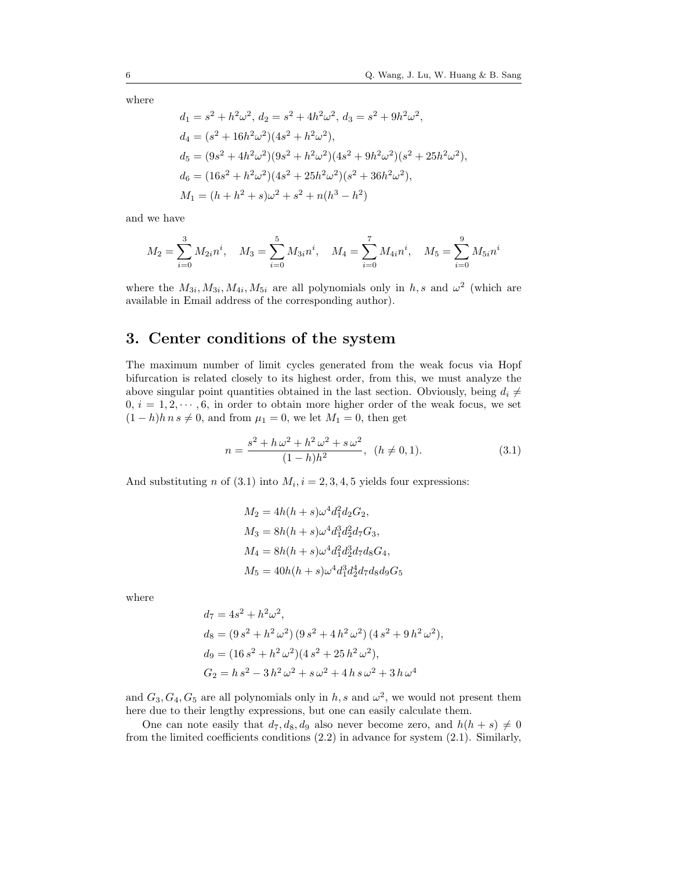where

$$
d_1 = s^2 + h^2 \omega^2, d_2 = s^2 + 4h^2 \omega^2, d_3 = s^2 + 9h^2 \omega^2,
$$
  
\n
$$
d_4 = (s^2 + 16h^2 \omega^2)(4s^2 + h^2 \omega^2),
$$
  
\n
$$
d_5 = (9s^2 + 4h^2 \omega^2)(9s^2 + h^2 \omega^2)(4s^2 + 9h^2 \omega^2)(s^2 + 25h^2 \omega^2),
$$
  
\n
$$
d_6 = (16s^2 + h^2 \omega^2)(4s^2 + 25h^2 \omega^2)(s^2 + 36h^2 \omega^2),
$$
  
\n
$$
M_1 = (h + h^2 + s)\omega^2 + s^2 + n(h^3 - h^2)
$$

and we have

$$
M_2 = \sum_{i=0}^{3} M_{2i} n^i, \quad M_3 = \sum_{i=0}^{5} M_{3i} n^i, \quad M_4 = \sum_{i=0}^{7} M_{4i} n^i, \quad M_5 = \sum_{i=0}^{9} M_{5i} n^i
$$

where the  $M_{3i}, M_{3i}, M_{4i}, M_{5i}$  are all polynomials only in h, s and  $\omega^2$  (which are available in Email address of the corresponding author).

# 3. Center conditions of the system

The maximum number of limit cycles generated from the weak focus via Hopf bifurcation is related closely to its highest order, from this, we must analyze the above singular point quantities obtained in the last section. Obviously, being  $d_i \neq$  $0, i = 1, 2, \dots, 6$ , in order to obtain more higher order of the weak focus, we set  $(1-h)h n s \neq 0$ , and from  $\mu_1 = 0$ , we let  $M_1 = 0$ , then get

<span id="page-5-0"></span>
$$
n = \frac{s^2 + h\,\omega^2 + h^2\,\omega^2 + s\,\omega^2}{(1 - h)h^2}, \ \ (h \neq 0, 1). \tag{3.1}
$$

And substituting *n* of [\(3.1\)](#page-5-0) into  $M_i$ ,  $i = 2, 3, 4, 5$  yields four expressions:

$$
M_2 = 4h(h + s)\omega^4 d_1^2 d_2 G_2,
$$
  
\n
$$
M_3 = 8h(h + s)\omega^4 d_1^3 d_2^2 d_7 G_3,
$$
  
\n
$$
M_4 = 8h(h + s)\omega^4 d_1^2 d_2^3 d_7 d_8 G_4,
$$
  
\n
$$
M_5 = 40h(h + s)\omega^4 d_1^3 d_2^4 d_7 d_8 d_9 G_5
$$

where

$$
d_7 = 4s^2 + h^2 \omega^2,
$$
  
\n
$$
d_8 = (9s^2 + h^2 \omega^2) (9s^2 + 4h^2 \omega^2) (4s^2 + 9h^2 \omega^2),
$$
  
\n
$$
d_9 = (16s^2 + h^2 \omega^2) (4s^2 + 25h^2 \omega^2),
$$
  
\n
$$
G_2 = h s^2 - 3h^2 \omega^2 + s \omega^2 + 4h s \omega^2 + 3h \omega^4
$$

and  $G_3, G_4, G_5$  are all polynomials only in h, s and  $\omega^2$ , we would not present them here due to their lengthy expressions, but one can easily calculate them.

One can note easily that  $d_7, d_8, d_9$  also never become zero, and  $h(h + s) \neq 0$ from the limited coefficients conditions [\(2.2\)](#page-2-2) in advance for system [\(2.1\)](#page-2-0). Similarly,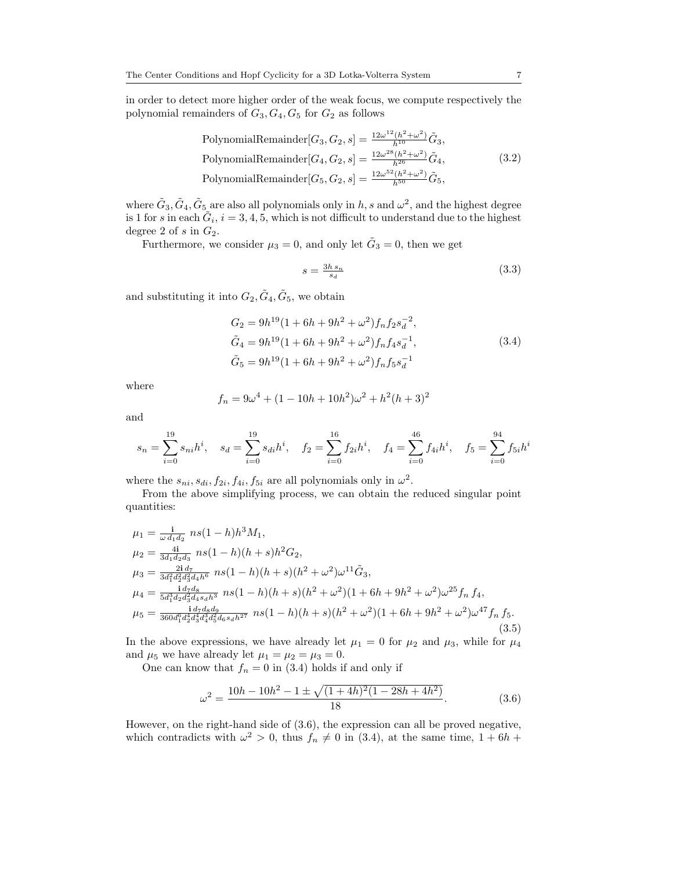in order to detect more higher order of the weak focus, we compute respectively the polynomial remainders of  $G_3, G_4, G_5$  for  $G_2$  as follows

PolynomialRemainder
$$
[G_3, G_2, s] = \frac{12\omega^{12}(h^2 + \omega^2)}{h^{10}} \tilde{G}_3
$$
,  
PolynomialRemainder $[G_4, G_2, s] = \frac{12\omega^{28}(h^2 + \omega^2)}{h^{26}} \tilde{G}_4$ ,  
PolynomialRemainder $[G_5, G_2, s] = \frac{12\omega^{52}(h^2 + \omega^2)}{h^{50}} \tilde{G}_5$ , (3.2)

where  $\tilde{G}_3$ ,  $\tilde{G}_4$ ,  $\tilde{G}_5$  are also all polynomials only in h, s and  $\omega^2$ , and the highest degree is 1 for s in each  $\tilde{G}_i$ ,  $i = 3, 4, 5$ , which is not difficult to understand due to the highest degree 2 of s in  $G_2$ .

Furthermore, we consider  $\mu_3 = 0$ , and only let  $\tilde{G}_3 = 0$ , then we get

<span id="page-6-3"></span>
$$
s = \frac{3h\,s_n}{s_d} \tag{3.3}
$$

and substituting it into  $G_2, \tilde{G}_4, \tilde{G}_5$ , we obtain

<span id="page-6-0"></span>
$$
G_2 = 9h^{19}(1 + 6h + 9h^2 + \omega^2)f_nf_2s_d^{-2},
$$
  
\n
$$
\tilde{G}_4 = 9h^{19}(1 + 6h + 9h^2 + \omega^2)f_nf_4s_d^{-1},
$$
  
\n
$$
\tilde{G}_5 = 9h^{19}(1 + 6h + 9h^2 + \omega^2)f_nf_5s_d^{-1}
$$
\n(3.4)

where

$$
f_n = 9\omega^4 + (1 - 10h + 10h^2)\omega^2 + h^2(h+3)^2
$$

and

$$
s_n = \sum_{i=0}^{19} s_{ni} h^i, \quad s_d = \sum_{i=0}^{19} s_{di} h^i, \quad f_2 = \sum_{i=0}^{16} f_{2i} h^i, \quad f_4 = \sum_{i=0}^{46} f_{4i} h^i, \quad f_5 = \sum_{i=0}^{94} f_{5i} h^i
$$

where the  $s_{ni}$ ,  $s_{di}$ ,  $f_{2i}$ ,  $f_{4i}$ ,  $f_{5i}$  are all polynomials only in  $\omega^2$ .

From the above simplifying process, we can obtain the reduced singular point quantities:

<span id="page-6-2"></span>
$$
\mu_1 = \frac{1}{\omega d_1 d_2} n s (1 - h) h^3 M_1,
$$
  
\n
$$
\mu_2 = \frac{4i}{3d_1 d_2 d_3} n s (1 - h) (h + s) h^2 G_2,
$$
  
\n
$$
\mu_3 = \frac{2i d_7}{3d_1^2 d_3^2 d_4 h^6} n s (1 - h) (h + s) (h^2 + \omega^2) \omega^{11} \tilde{G}_3,
$$
  
\n
$$
\mu_4 = \frac{i d_7 d_8}{5d_1^3 d_2 d_3^2 d_4 s_4 h^3} n s (1 - h) (h + s) (h^2 + \omega^2) (1 + 6h + 9h^2 + \omega^2) \omega^{25} f_n f_4,
$$
  
\n
$$
\mu_5 = \frac{i d_7 d_8 d_9}{360 d_1^6 d_2^4 d_3^4 d_4^3 d_5^2 d_6 s_4 h^{27}} n s (1 - h) (h + s) (h^2 + \omega^2) (1 + 6h + 9h^2 + \omega^2) \omega^{47} f_n f_5.
$$
  
\n(3.5)

In the above expressions, we have already let  $\mu_1 = 0$  for  $\mu_2$  and  $\mu_3$ , while for  $\mu_4$ and  $\mu_5$  we have already let  $\mu_1 = \mu_2 = \mu_3 = 0$ .

One can know that  $f_n = 0$  in [\(3.4\)](#page-6-0) holds if and only if

<span id="page-6-1"></span>
$$
\omega^2 = \frac{10h - 10h^2 - 1 \pm \sqrt{(1 + 4h)^2 (1 - 28h + 4h^2)}}{18}.
$$
 (3.6)

However, on the right-hand side of [\(3.6\)](#page-6-1), the expression can all be proved negative, which contradicts with  $\omega^2 > 0$ , thus  $f_n \neq 0$  in [\(3.4\)](#page-6-0), at the same time,  $1 + 6h +$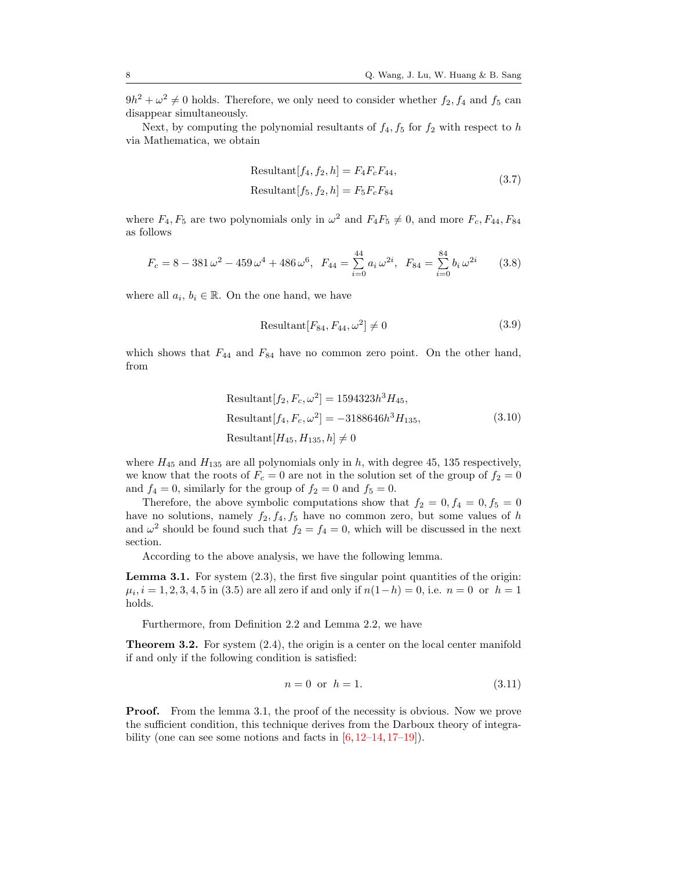$9h^2 + \omega^2 \neq 0$  holds. Therefore, we only need to consider whether  $f_2, f_4$  and  $f_5$  can disappear simultaneously.

Next, by computing the polynomial resultants of  $f_4, f_5$  for  $f_2$  with respect to h via Mathematica, we obtain

<span id="page-7-2"></span>Resultant 
$$
[f_4, f_2, h] = F_4 F_c F_{44}
$$
,  
Resultant  $[f_5, f_2, h] = F_5 F_c F_{84}$  (3.7)

where  $F_4, F_5$  are two polynomials only in  $\omega^2$  and  $F_4F_5 \neq 0$ , and more  $F_c, F_{44}, F_{84}$ as follows

$$
F_c = 8 - 381 \omega^2 - 459 \omega^4 + 486 \omega^6, \ \ F_{44} = \sum_{i=0}^{44} a_i \omega^{2i}, \ \ F_{84} = \sum_{i=0}^{84} b_i \omega^{2i} \tag{3.8}
$$

where all  $a_i, b_i \in \mathbb{R}$ . On the one hand, we have

$$
Resultant[F_{84}, F_{44}, \omega^2] \neq 0 \tag{3.9}
$$

which shows that  $F_{44}$  and  $F_{84}$  have no common zero point. On the other hand, from

<span id="page-7-3"></span>Resultant
$$
[f_2, F_c, \omega^2] = 1594323h^3 H_{45}
$$
,  
Resultant $[f_4, F_c, \omega^2] = -3188646h^3 H_{135}$ ,  
Resultant $[H_{45}, H_{135}, h] \neq 0$  (3.10)

where  $H_{45}$  and  $H_{135}$  are all polynomials only in h, with degree 45, 135 respectively, we know that the roots of  $F_c = 0$  are not in the solution set of the group of  $f_2 = 0$ and  $f_4 = 0$ , similarly for the group of  $f_2 = 0$  and  $f_5 = 0$ .

Therefore, the above symbolic computations show that  $f_2 = 0, f_4 = 0, f_5 = 0$ have no solutions, namely  $f_2, f_4, f_5$  have no common zero, but some values of h and  $\omega^2$  should be found such that  $f_2 = f_4 = 0$ , which will be discussed in the next section.

According to the above analysis, we have the following lemma.

<span id="page-7-0"></span>Lemma 3.1. For system [\(2.3\)](#page-2-1), the first five singular point quantities of the origin:  $\mu_i, i = 1, 2, 3, 4, 5$  in [\(3.5\)](#page-6-2) are all zero if and only if  $n(1-h) = 0$ , i.e.  $n = 0$  or  $h = 1$ holds.

Furthermore, from Definition [2.2](#page-4-3) and Lemma [2.2,](#page-4-1) we have

<span id="page-7-4"></span>**Theorem 3.2.** For system  $(2.4)$ , the origin is a center on the local center manifold if and only if the following condition is satisfied:

<span id="page-7-1"></span>
$$
n = 0 \text{ or } h = 1. \tag{3.11}
$$

**Proof.** From the lemma [3.1,](#page-7-0) the proof of the necessity is obvious. Now we prove the sufficient condition, this technique derives from the Darboux theory of integrability (one can see some notions and facts in  $[6, 12-14, 17-19]$  $[6, 12-14, 17-19]$  $[6, 12-14, 17-19]$  $[6, 12-14, 17-19]$  $[6, 12-14, 17-19]$  $[6, 12-14, 17-19]$ ).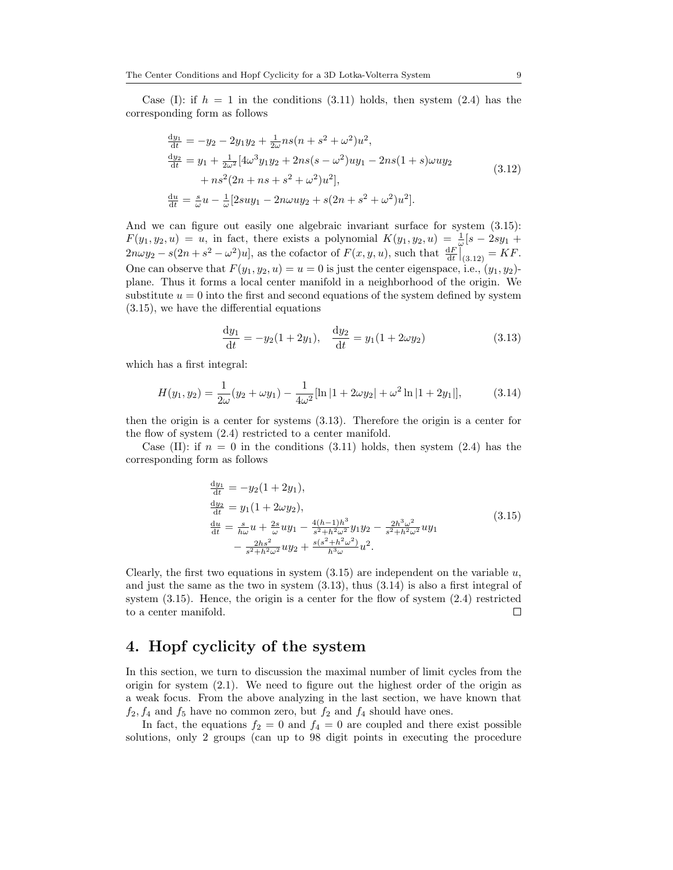Case (I): if  $h = 1$  in the conditions [\(3.11\)](#page-7-1) holds, then system [\(2.4\)](#page-3-0) has the corresponding form as follows

<span id="page-8-1"></span>
$$
\frac{dy_1}{dt} = -y_2 - 2y_1y_2 + \frac{1}{2\omega}ns(n+s^2+\omega^2)u^2,\n\frac{dy_2}{dt} = y_1 + \frac{1}{2\omega^2}[4\omega^3y_1y_2 + 2ns(s-\omega^2)uy_1 - 2ns(1+s)\omega uy_2\n+ ns^2(2n+ns+s^2+\omega^2)u^2],\n\frac{du}{dt} = \frac{s}{\omega}u - \frac{1}{\omega}[2suy_1 - 2n\omega uy_2 + s(2n+s^2+\omega^2)u^2].
$$
\n(3.12)

And we can figure out easily one algebraic invariant surface for system  $(3.15)$ :  $F(y_1, y_2, u) = u$ , in fact, there exists a polynomial  $K(y_1, y_2, u) = \frac{1}{\omega} [s - 2sy_1 +$  $2n\omega y_2 - s(2n + s^2 - \omega^2)u$ , as the cofactor of  $F(x, y, u)$ , such that  $\frac{dF}{dt}\Big|_{(3.12)} = KF$  $\frac{dF}{dt}\Big|_{(3.12)} = KF$  $\frac{dF}{dt}\Big|_{(3.12)} = KF$ . One can observe that  $F(y_1, y_2, u) = u = 0$  is just the center eigenspace, i.e.,  $(y_1, y_2)$ . plane. Thus it forms a local center manifold in a neighborhood of the origin. We substitute  $u = 0$  into the first and second equations of the system defined by system [\(3.15\)](#page-8-0), we have the differential equations

<span id="page-8-2"></span>
$$
\frac{dy_1}{dt} = -y_2(1+2y_1), \quad \frac{dy_2}{dt} = y_1(1+2\omega y_2)
$$
\n(3.13)

which has a first integral:

<span id="page-8-3"></span>
$$
H(y_1, y_2) = \frac{1}{2\omega}(y_2 + \omega y_1) - \frac{1}{4\omega^2}[\ln|1 + 2\omega y_2| + \omega^2 \ln|1 + 2y_1|],
$$
 (3.14)

then the origin is a center for systems [\(3.13\)](#page-8-2). Therefore the origin is a center for the flow of system [\(2.4\)](#page-3-0) restricted to a center manifold.

Case (II): if  $n = 0$  in the conditions [\(3.11\)](#page-7-1) holds, then system [\(2.4\)](#page-3-0) has the corresponding form as follows

<span id="page-8-0"></span>
$$
\frac{dy_1}{dt} = -y_2(1+2y_1),\n\frac{dy_2}{dt} = y_1(1+2\omega y_2),\n\frac{du}{dt} = \frac{s}{h\omega}u + \frac{2s}{\omega}uy_1 - \frac{4(h-1)h^3}{s^2 + h^2\omega^2}y_1y_2 - \frac{2h^3\omega^2}{s^2 + h^2\omega^2}uy_1\n- \frac{2hs^2}{s^2 + h^2\omega^2}uy_2 + \frac{s(s^2 + h^2\omega^2)}{h^3\omega}u^2.
$$
\n(3.15)

Clearly, the first two equations in system  $(3.15)$  are independent on the variable  $u$ , and just the same as the two in system [\(3.13\)](#page-8-2), thus [\(3.14\)](#page-8-3) is also a first integral of system [\(3.15\)](#page-8-0). Hence, the origin is a center for the flow of system [\(2.4\)](#page-3-0) restricted to a center manifold.  $\Box$ 

### 4. Hopf cyclicity of the system

In this section, we turn to discussion the maximal number of limit cycles from the origin for system [\(2.1\)](#page-2-0). We need to figure out the highest order of the origin as a weak focus. From the above analyzing in the last section, we have known that  $f_2, f_4$  and  $f_5$  have no common zero, but  $f_2$  and  $f_4$  should have ones.

In fact, the equations  $f_2 = 0$  and  $f_4 = 0$  are coupled and there exist possible solutions, only 2 groups (can up to 98 digit points in executing the procedure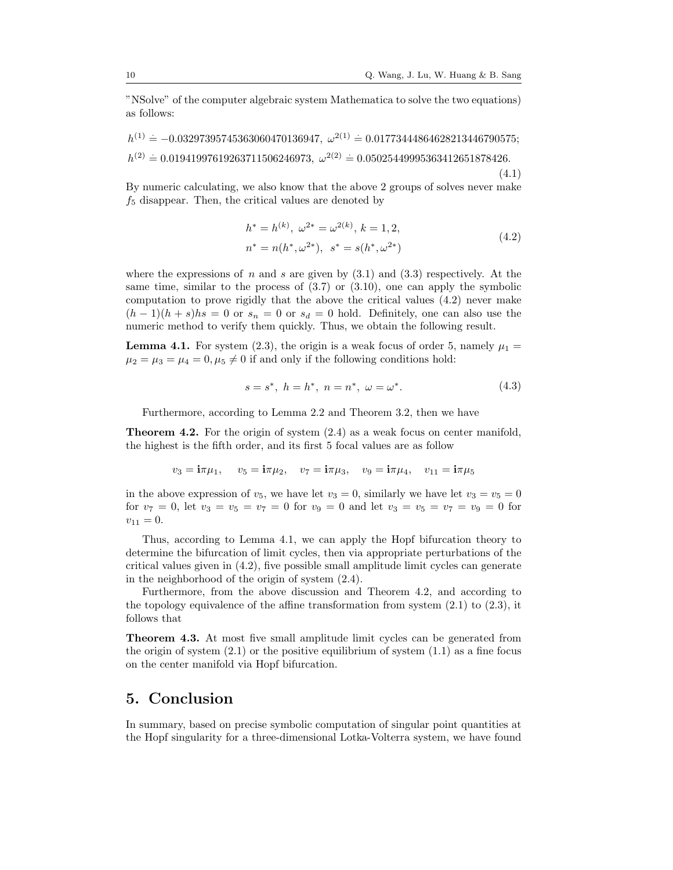"NSolve" of the computer algebraic system Mathematica to solve the two equations) as follows:

 $h^{(1)} = -0.03297395745363060470136947, \ \omega^{2(1)} = 0.01773444864628213446790575;$  $h^{(2)} = 0.01941997619263711506246973, \ \omega^{2(2)} = 0.05025449995363412651878426.$ (4.1)

By numeric calculating, we also know that the above 2 groups of solves never make  $f<sub>5</sub>$  disappear. Then, the critical values are denoted by

<span id="page-9-0"></span>
$$
h^* = h^{(k)}, \ \omega^{2*} = \omega^{2(k)}, \ k = 1, 2,
$$
  

$$
n^* = n(h^*, \omega^{2*}), \ s^* = s(h^*, \omega^{2*})
$$
 (4.2)

where the expressions of n and s are given by  $(3.1)$  and  $(3.3)$  respectively. At the same time, similar to the process of [\(3.7\)](#page-7-2) or [\(3.10\)](#page-7-3), one can apply the symbolic computation to prove rigidly that the above the critical values [\(4.2\)](#page-9-0) never make  $(h-1)(h+s)$  is  $= 0$  or  $s_n = 0$  or  $s_d = 0$  hold. Definitely, one can also use the numeric method to verify them quickly. Thus, we obtain the following result.

<span id="page-9-1"></span>**Lemma 4.1.** For system [\(2.3\)](#page-2-1), the origin is a weak focus of order 5, namely  $\mu_1 =$  $\mu_2 = \mu_3 = \mu_4 = 0, \mu_5 \neq 0$  if and only if the following conditions hold:

$$
s = s^*, \ h = h^*, \ n = n^*, \ \omega = \omega^*.
$$
 (4.3)

Furthermore, according to Lemma [2.2](#page-4-1) and Theorem [3.2,](#page-7-4) then we have

<span id="page-9-2"></span>Theorem 4.2. For the origin of system [\(2.4\)](#page-3-0) as a weak focus on center manifold, the highest is the fifth order, and its first 5 focal values are as follow

$$
v_3 = \mathbf{i}\pi\mu_1
$$
,  $v_5 = \mathbf{i}\pi\mu_2$ ,  $v_7 = \mathbf{i}\pi\mu_3$ ,  $v_9 = \mathbf{i}\pi\mu_4$ ,  $v_{11} = \mathbf{i}\pi\mu_5$ 

in the above expression of  $v_5$ , we have let  $v_3 = 0$ , similarly we have let  $v_3 = v_5 = 0$ for  $v_7 = 0$ , let  $v_3 = v_5 = v_7 = 0$  for  $v_9 = 0$  and let  $v_3 = v_5 = v_7 = v_9 = 0$  for  $v_{11} = 0.$ 

Thus, according to Lemma [4.1,](#page-9-1) we can apply the Hopf bifurcation theory to determine the bifurcation of limit cycles, then via appropriate perturbations of the critical values given in [\(4.2\)](#page-9-0), five possible small amplitude limit cycles can generate in the neighborhood of the origin of system [\(2.4\)](#page-3-0).

Furthermore, from the above discussion and Theorem [4.2,](#page-9-2) and according to the topology equivalence of the affine transformation from system  $(2.1)$  to  $(2.3)$ , it follows that

Theorem 4.3. At most five small amplitude limit cycles can be generated from the origin of system  $(2.1)$  or the positive equilibrium of system  $(1.1)$  as a fine focus on the center manifold via Hopf bifurcation.

# 5. Conclusion

In summary, based on precise symbolic computation of singular point quantities at the Hopf singularity for a three-dimensional Lotka-Volterra system, we have found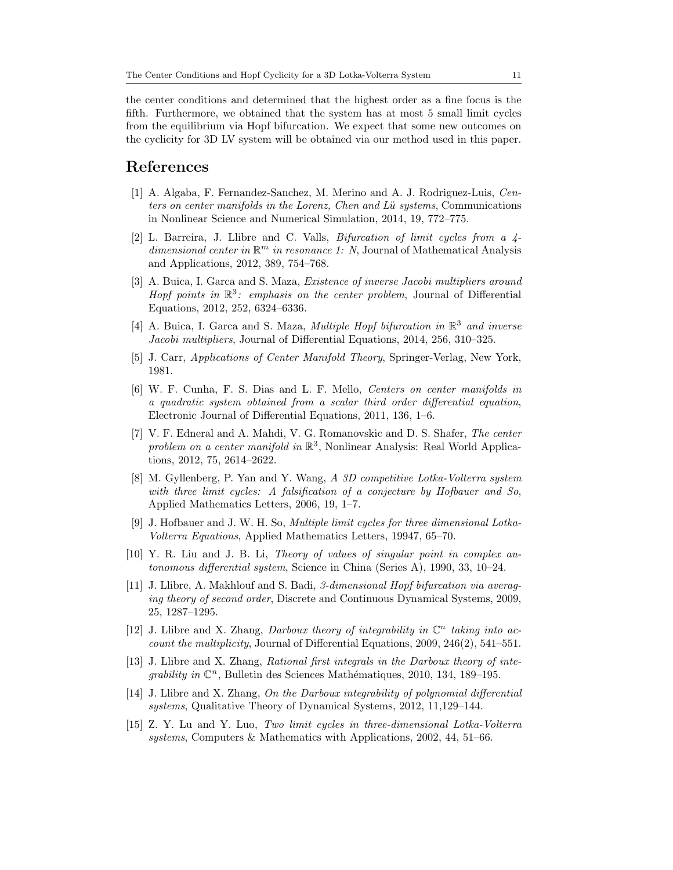the center conditions and determined that the highest order as a fine focus is the fifth. Furthermore, we obtained that the system has at most 5 small limit cycles from the equilibrium via Hopf bifurcation. We expect that some new outcomes on the cyclicity for 3D LV system will be obtained via our method used in this paper.

#### <span id="page-10-0"></span>References

- <span id="page-10-4"></span>[1] A. Algaba, F. Fernandez-Sanchez, M. Merino and A. J. Rodriguez-Luis, Centers on center manifolds in the Lorenz, Chen and Lü systems, Communications in Nonlinear Science and Numerical Simulation, 2014, 19, 772–775.
- <span id="page-10-5"></span>[2] L. Barreira, J. Llibre and C. Valls, Bifurcation of limit cycles from a 4 dimensional center in  $\mathbb{R}^m$  in resonance 1: N, Journal of Mathematical Analysis and Applications, 2012, 389, 754–768.
- <span id="page-10-7"></span>[3] A. Buica, I. Garca and S. Maza, *Existence of inverse Jacobi multipliers around* Hopf points in  $\mathbb{R}^3$ : emphasis on the center problem, Journal of Differential Equations, 2012, 252, 6324–6336.
- <span id="page-10-8"></span>[4] A. Buica, I. Garca and S. Maza, *Multiple Hopf bifurcation in*  $\mathbb{R}^3$  and inverse Jacobi multipliers, Journal of Differential Equations, 2014, 256, 310–325.
- <span id="page-10-11"></span>[5] J. Carr, Applications of Center Manifold Theory, Springer-Verlag, New York, 1981.
- <span id="page-10-12"></span>[6] W. F. Cunha, F. S. Dias and L. F. Mello, Centers on center manifolds in a quadratic system obtained from a scalar third order differential equation, Electronic Journal of Differential Equations, 2011, 136, 1–6.
- <span id="page-10-9"></span>[7] V. F. Edneral and A. Mahdi, V. G. Romanovskic and D. S. Shafer, The center problem on a center manifold in  $\mathbb{R}^3$ , Nonlinear Analysis: Real World Applications, 2012, 75, 2614–2622.
- <span id="page-10-2"></span>[8] M. Gyllenberg, P. Yan and Y. Wang, A 3D competitive Lotka-Volterra system with three limit cycles: A falsification of a conjecture by Hofbauer and So, Applied Mathematics Letters, 2006, 19, 1–7.
- <span id="page-10-1"></span>[9] J. Hofbauer and J. W. H. So, Multiple limit cycles for three dimensional Lotka-Volterra Equations, Applied Mathematics Letters, 19947, 65–70.
- <span id="page-10-10"></span>[10] Y. R. Liu and J. B. Li, Theory of values of singular point in complex autonomous differential system, Science in China (Series A), 1990, 33, 10–24.
- <span id="page-10-6"></span>[11] J. Llibre, A. Makhlouf and S. Badi, 3-dimensional Hopf bifurcation via averaging theory of second order, Discrete and Continuous Dynamical Systems, 2009, 25, 1287–1295.
- <span id="page-10-13"></span>[12] J. Llibre and X. Zhang, Darboux theory of integrability in  $\mathbb{C}^n$  taking into account the multiplicity, Journal of Differential Equations, 2009, 246(2), 541–551.
- [13] J. Llibre and X. Zhang, Rational first integrals in the Darboux theory of integrability in  $\mathbb{C}^n$ , Bulletin des Sciences Mathématiques, 2010, 134, 189–195.
- <span id="page-10-14"></span>[14] J. Llibre and X. Zhang, On the Darboux integrability of polynomial differential systems, Qualitative Theory of Dynamical Systems, 2012, 11,129–144.
- <span id="page-10-3"></span>[15] Z. Y. Lu and Y. Luo, Two limit cycles in three-dimensional Lotka-Volterra systems, Computers & Mathematics with Applications, 2002, 44, 51–66.